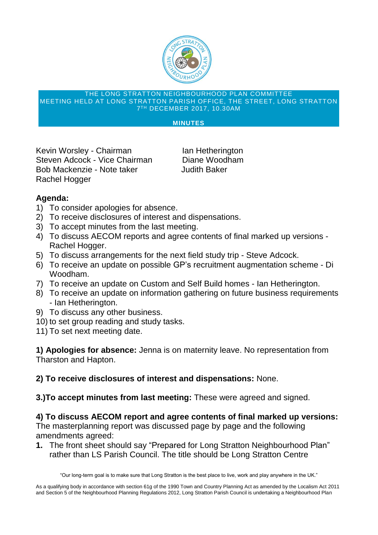

## THE LONG STRATTON NEIGHBOURHOOD PLAN COMMITTEE MEETING HELD AT LONG STRATTON PARISH OFFICE, THE STREET, LONG STRATTON 7 TH DECEMBER 2017, 10.30AM

## **MINUTES**

**Kevin Worsley - Chairman Islan Hetherington Steven Adcock - Vice Chairman Diane Woodham Bob Mackenzie - Note taker Judith Baker Rachel Hogger**

## **Agenda:**

- **1) To consider apologies for absence.**
- **2) To receive disclosures of interest and dispensations.**
- **3) To accept minutes from the last meeting.**
- **4) To discuss AECOM reports and agree contents of final marked up versions - Rachel Hogger.**
- **5) To discuss arrangements for the next field study trip - Steve Adcock.**
- **6) To receive an update on possible GP's recruitment augmentation scheme - Di Woodham.**
- **7) To receive an update on Custom and Self Build homes - Ian Hetherington.**
- **8) To receive an update on information gathering on future business requirements - Ian Hetherington.**
- **9) To discuss any other business.**
- **10) to set group reading and study tasks.**
- **11) To set next meeting date.**

**1) Apologies for absence: Jenna is on maternity leave. No representation from Tharston and Hapton.**

**2) To receive disclosures of interest and dispensations: None.**

**3.)To accept minutes from last meeting: These were agreed and signed.**

**4) To discuss AECOM report and agree contents of final marked up versions: The masterplanning report was discussed page by page and the following amendments agreed:**

**1. The front sheet should say "Prepared for Long Stratton Neighbourhood Plan" rather than LS Parish Council. The title should be Long Stratton Centre**

"Our long-term goal is to make sure that Long Stratton is the best place to live, work and play anywhere in the UK."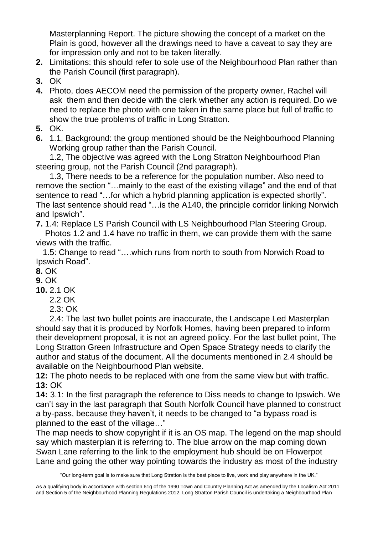**Masterplanning Report. The picture showing the concept of a market on the Plain is good, however all the drawings need to have a caveat to say they are for impression only and not to be taken literally.**

- **2. Limitations: this should refer to sole use of the Neighbourhood Plan rather than the Parish Council (first paragraph).**
- **3. OK**
- **4. Photo, does AECOM need the permission of the property owner, Rachel will ask them and then decide with the clerk whether any action is required. Do we need to replace the photo with one taken in the same place but full of traffic to show the true problems of traffic in Long Stratton.**
- **5. OK.**
- **6. 1.1, Background: the group mentioned should be the Neighbourhood Planning Working group rather than the Parish Council.**

 **1.2, The objective was agreed with the Long Stratton Neighbourhood Plan steering group, not the Parish Council (2nd paragraph).**

 **1.3, There needs to be a reference for the population number. Also need to remove the section "…mainly to the east of the existing village" and the end of that sentence to read "…for which a hybrid planning application is expected shortly". The last sentence should read "…is the A140, the principle corridor linking Norwich and Ipswich".**

**7. 1.4: Replace LS Parish Council with LS Neighbourhood Plan Steering Group.**

 **Photos 1.2 and 1.4 have no traffic in them, we can provide them with the same views with the traffic.**

 **1.5: Change to read "….which runs from north to south from Norwich Road to Ipswich Road".**

**8. OK**

**9. OK**

- **10. 2.1 OK**
	- **2.2 OK**
	- **2.3: OK**

 **2.4: The last two bullet points are inaccurate, the Landscape Led Masterplan should say that it is produced by Norfolk Homes, having been prepared to inform their development proposal, it is not an agreed policy. For the last bullet point, The Long Stratton Green Infrastructure and Open Space Strategy needs to clarify the author and status of the document. All the documents mentioned in 2.4 should be available on the Neighbourhood Plan website.**

**12: The photo needs to be replaced with one from the same view but with traffic. 13: OK**

**14: 3.1: In the first paragraph the reference to Diss needs to change to Ipswich. We can't say in the last paragraph that South Norfolk Council have planned to construct a by-pass, because they haven't, it needs to be changed to "a bypass road is planned to the east of the village…"**

**The map needs to show copyright if it is an OS map. The legend on the map should say which masterplan it is referring to. The blue arrow on the map coming down Swan Lane referring to the link to the employment hub should be on Flowerpot Lane and going the other way pointing towards the industry as most of the industry**

"Our long-term goal is to make sure that Long Stratton is the best place to live, work and play anywhere in the UK."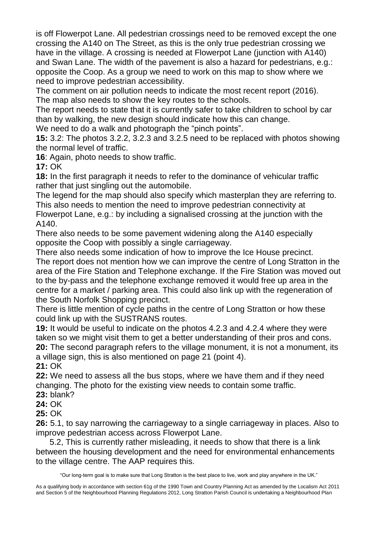**is off Flowerpot Lane. All pedestrian crossings need to be removed except the one crossing the A140 on The Street, as this is the only true pedestrian crossing we have in the village. A crossing is needed at Flowerpot Lane (junction with A140) and Swan Lane. The width of the pavement is also a hazard for pedestrians, e.g.: opposite the Coop. As a group we need to work on this map to show where we need to improve pedestrian accessibility.**

**The comment on air pollution needs to indicate the most recent report (2016). The map also needs to show the key routes to the schools.**

**The report needs to state that it is currently safer to take children to school by car than by walking, the new design should indicate how this can change.**

**We need to do a walk and photograph the "pinch points".**

**15: 3.2: The photos 3.2.2, 3.2.3 and 3.2.5 need to be replaced with photos showing the normal level of traffic.**

**16: Again, photo needs to show traffic.**

**17: OK**

**18: In the first paragraph it needs to refer to the dominance of vehicular traffic rather that just singling out the automobile.**

**The legend for the map should also specify which masterplan they are referring to. This also needs to mention the need to improve pedestrian connectivity at Flowerpot Lane, e.g.: by including a signalised crossing at the junction with the A140.**

**There also needs to be some pavement widening along the A140 especially opposite the Coop with possibly a single carriageway.**

**There also needs some indication of how to improve the Ice House precinct.**

**The report does not mention how we can improve the centre of Long Stratton in the area of the Fire Station and Telephone exchange. If the Fire Station was moved out to the by-pass and the telephone exchange removed it would free up area in the centre for a market / parking area. This could also link up with the regeneration of the South Norfolk Shopping precinct.**

**There is little mention of cycle paths in the centre of Long Stratton or how these could link up with the SUSTRANS routes.**

**19: It would be useful to indicate on the photos 4.2.3 and 4.2.4 where they were taken so we might visit them to get a better understanding of their pros and cons. 20: The second paragraph refers to the village monument, it is not a monument, its a village sign, this is also mentioned on page 21 (point 4).**

**21: OK**

**22: We need to assess all the bus stops, where we have them and if they need changing. The photo for the existing view needs to contain some traffic.**

**23: blank?**

**24: OK**

**25: OK**

**26: 5.1, to say narrowing the carriageway to a single carriageway in places. Also to improve pedestrian access across Flowerpot Lane.**

 **5.2, This is currently rather misleading, it needs to show that there is a link between the housing development and the need for environmental enhancements to the village centre. The AAP requires this.**

"Our long-term goal is to make sure that Long Stratton is the best place to live, work and play anywhere in the UK."